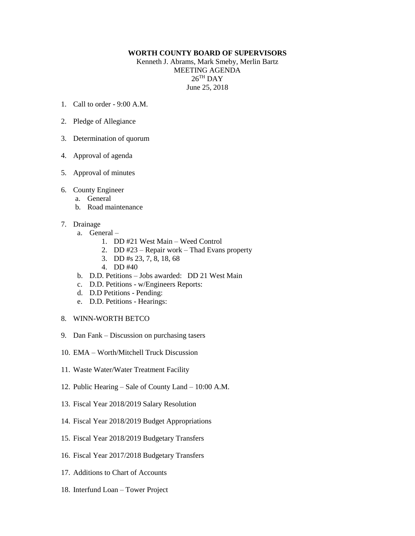## **WORTH COUNTY BOARD OF SUPERVISORS**

Kenneth J. Abrams, Mark Smeby, Merlin Bartz MEETING AGENDA  $26^{\mathrm{TH}}$  DAY June 25, 2018

- 1. Call to order 9:00 A.M.
- 2. Pledge of Allegiance
- 3. Determination of quorum
- 4. Approval of agenda
- 5. Approval of minutes
- 6. County Engineer
	- a. General
	- b. Road maintenance
- 7. Drainage
	- a. General
		- 1. DD #21 West Main Weed Control
		- 2. DD #23 Repair work Thad Evans property
		- 3. DD #s 23, 7, 8, 18, 68
		- 4. DD #40
	- b. D.D. Petitions Jobs awarded: DD 21 West Main
	- c. D.D. Petitions w/Engineers Reports:
	- d. D.D Petitions Pending:
	- e. D.D. Petitions Hearings:
- 8. WINN-WORTH BETCO
- 9. Dan Fank Discussion on purchasing tasers
- 10. EMA Worth/Mitchell Truck Discussion
- 11. Waste Water/Water Treatment Facility
- 12. Public Hearing Sale of County Land 10:00 A.M.
- 13. Fiscal Year 2018/2019 Salary Resolution
- 14. Fiscal Year 2018/2019 Budget Appropriations
- 15. Fiscal Year 2018/2019 Budgetary Transfers
- 16. Fiscal Year 2017/2018 Budgetary Transfers
- 17. Additions to Chart of Accounts
- 18. Interfund Loan Tower Project